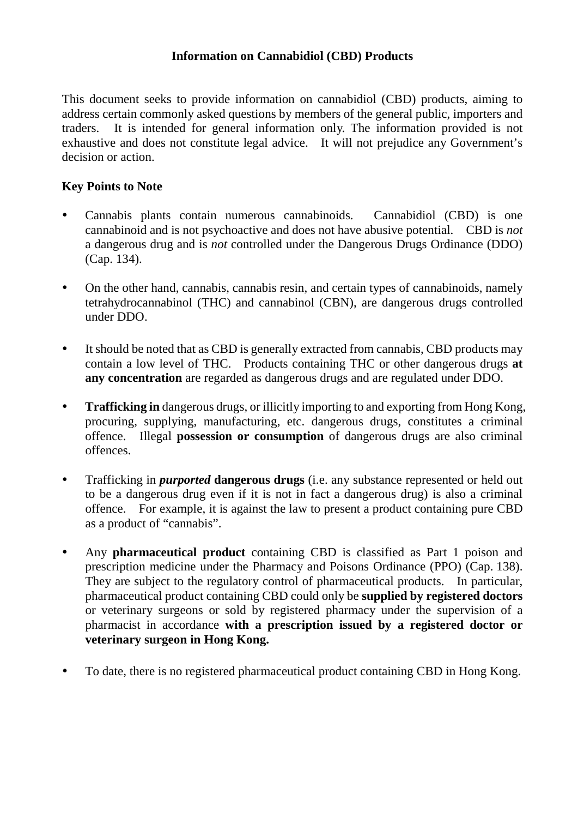#### **Information on Cannabidiol (CBD) Products**

This document seeks to provide information on cannabidiol (CBD) products, aiming to address certain commonly asked questions by members of the general public, importers and traders. It is intended for general information only. The information provided is not exhaustive and does not constitute legal advice. It will not prejudice any Government's decision or action.

### **Key Points to Note**

- Cannabis plants contain numerous cannabinoids. Cannabidiol (CBD) is one cannabinoid and is not psychoactive and does not have abusive potential. CBD is *not* a dangerous drug and is *not* controlled under the Dangerous Drugs Ordinance (DDO) (Cap. 134).
- On the other hand, cannabis, cannabis resin, and certain types of cannabinoids, namely tetrahydrocannabinol (THC) and cannabinol (CBN), are dangerous drugs controlled under DDO.
- It should be noted that as CBD is generally extracted from cannabis, CBD products may contain a low level of THC. Products containing THC or other dangerous drugs **at any concentration** are regarded as dangerous drugs and are regulated under DDO.
- **Trafficking in** dangerous drugs, or illicitly importing to and exporting from Hong Kong, procuring, supplying, manufacturing, etc. dangerous drugs, constitutes a criminal offence. Illegal **possession or consumption** of dangerous drugs are also criminal offences.
- Trafficking in *purported* **dangerous drugs** (i.e. any substance represented or held out to be a dangerous drug even if it is not in fact a dangerous drug) is also a criminal offence. For example, it is against the law to present a product containing pure CBD as a product of "cannabis".
- Any **pharmaceutical product** containing CBD is classified as Part 1 poison and prescription medicine under the Pharmacy and Poisons Ordinance (PPO) (Cap. 138). They are subject to the regulatory control of pharmaceutical products. In particular, pharmaceutical product containing CBD could only be **supplied by registered doctors** or veterinary surgeons or sold by registered pharmacy under the supervision of a pharmacist in accordance **with a prescription issued by a registered doctor or veterinary surgeon in Hong Kong.**
- To date, there is no registered pharmaceutical product containing CBD in Hong Kong.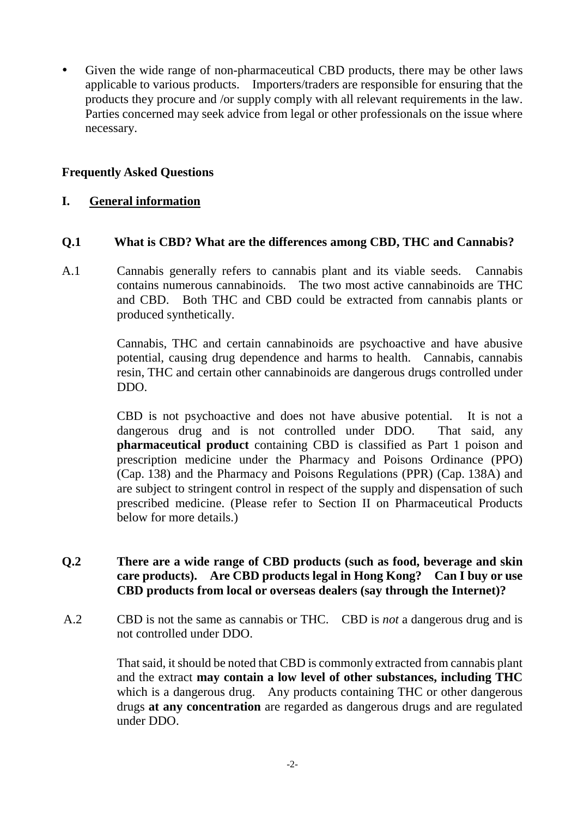Given the wide range of non-pharmaceutical CBD products, there may be other laws applicable to various products. Importers/traders are responsible for ensuring that the products they procure and /or supply comply with all relevant requirements in the law. Parties concerned may seek advice from legal or other professionals on the issue where necessary.

### **Frequently Asked Questions**

### **I. General information**

#### **Q.1 What is CBD? What are the differences among CBD, THC and Cannabis?**

A.1 Cannabis generally refers to cannabis plant and its viable seeds. Cannabis contains numerous cannabinoids. The two most active cannabinoids are THC and CBD. Both THC and CBD could be extracted from cannabis plants or produced synthetically.

> Cannabis, THC and certain cannabinoids are psychoactive and have abusive potential, causing drug dependence and harms to health. Cannabis, cannabis resin, THC and certain other cannabinoids are dangerous drugs controlled under DDO.

> CBD is not psychoactive and does not have abusive potential. It is not a dangerous drug and is not controlled under DDO. That said, any **pharmaceutical product** containing CBD is classified as Part 1 poison and prescription medicine under the Pharmacy and Poisons Ordinance (PPO) (Cap. 138) and the Pharmacy and Poisons Regulations (PPR) (Cap. 138A) and are subject to stringent control in respect of the supply and dispensation of such prescribed medicine. (Please refer to Section II on Pharmaceutical Products below for more details.)

### **Q.2 There are a wide range of CBD products (such as food, beverage and skin care products). Are CBD products legal in Hong Kong? Can I buy or use CBD products from local or overseas dealers (say through the Internet)?**

A.2 CBD is not the same as cannabis or THC. CBD is *not* a dangerous drug and is not controlled under DDO.

> That said, it should be noted that CBD is commonly extracted from cannabis plant and the extract **may contain a low level of other substances, including THC**  which is a dangerous drug. Any products containing THC or other dangerous drugs **at any concentration** are regarded as dangerous drugs and are regulated under DDO.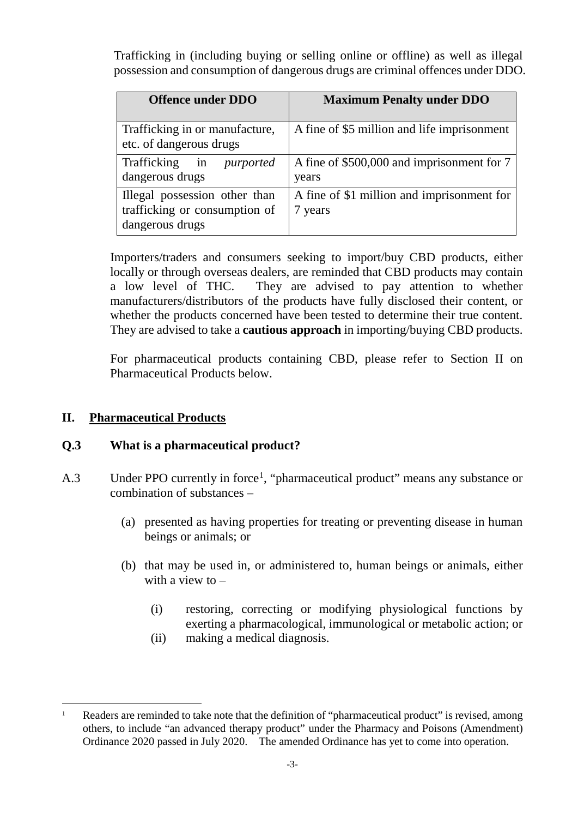Trafficking in (including buying or selling online or offline) as well as illegal possession and consumption of dangerous drugs are criminal offences under DDO.

| <b>Offence under DDO</b>                                                          | <b>Maximum Penalty under DDO</b>                      |
|-----------------------------------------------------------------------------------|-------------------------------------------------------|
| Trafficking in or manufacture,<br>etc. of dangerous drugs                         | A fine of \$5 million and life imprisonment           |
| Trafficking in <i>purported</i><br>dangerous drugs                                | A fine of \$500,000 and imprisonment for 7<br>years   |
| Illegal possession other than<br>trafficking or consumption of<br>dangerous drugs | A fine of \$1 million and imprisonment for<br>7 years |

Importers/traders and consumers seeking to import/buy CBD products, either locally or through overseas dealers, are reminded that CBD products may contain a low level of THC. They are advised to pay attention to whether manufacturers/distributors of the products have fully disclosed their content, or whether the products concerned have been tested to determine their true content. They are advised to take a **cautious approach** in importing/buying CBD products.

For pharmaceutical products containing CBD, please refer to Section II on Pharmaceutical Products below.

### **II. Pharmaceutical Products**

### **Q.3 What is a pharmaceutical product?**

- A.3 Under PPO currently in force<sup>[1](#page-2-0)</sup>, "pharmaceutical product" means any substance or combination of substances –
	- (a) presented as having properties for treating or preventing disease in human beings or animals; or
	- (b) that may be used in, or administered to, human beings or animals, either with a view to  $-$ 
		- (i) restoring, correcting or modifying physiological functions by exerting a pharmacological, immunological or metabolic action; or
		- (ii) making a medical diagnosis.

<span id="page-2-0"></span> $\overline{a}$ <sup>1</sup> Readers are reminded to take note that the definition of "pharmaceutical product" is revised, among others, to include "an advanced therapy product" under the Pharmacy and Poisons (Amendment) Ordinance 2020 passed in July 2020. The amended Ordinance has yet to come into operation.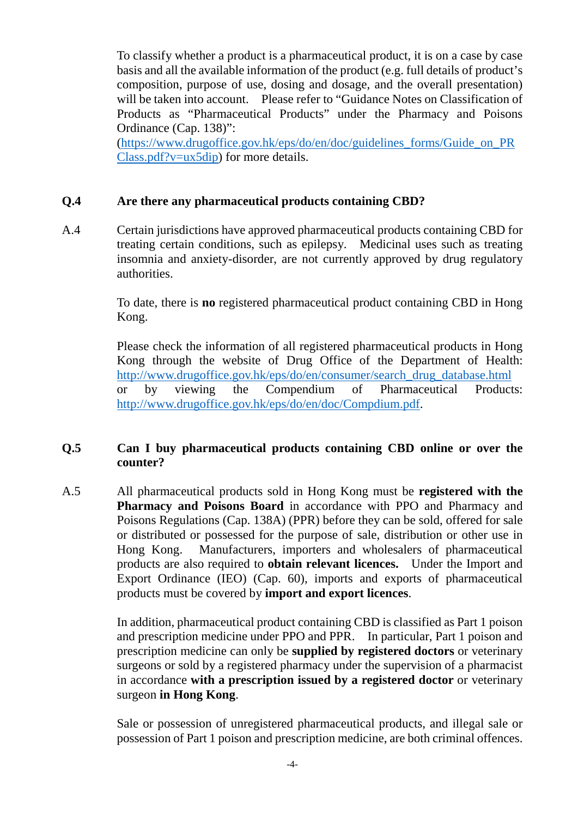To classify whether a product is a pharmaceutical product, it is on a case by case basis and all the available information of the product (e.g. full details of product's composition, purpose of use, dosing and dosage, and the overall presentation) will be taken into account. Please refer to "Guidance Notes on Classification of Products as "Pharmaceutical Products" under the Pharmacy and Poisons Ordinance (Cap. 138)": [\(https://www.drugoffice.gov.hk/eps/do/en/doc/guidelines\\_forms/Guide\\_on\\_PR](https://www.drugoffice.gov.hk/eps/do/en/doc/guidelines_forms/Guide_on_PRClass.pdf?v=ux5dip)

[Class.pdf?v=ux5dip\)](https://www.drugoffice.gov.hk/eps/do/en/doc/guidelines_forms/Guide_on_PRClass.pdf?v=ux5dip) for more details.

### **Q.4 Are there any pharmaceutical products containing CBD?**

A.4 Certain jurisdictions have approved pharmaceutical products containing CBD for treating certain conditions, such as epilepsy. Medicinal uses such as treating insomnia and anxiety-disorder, are not currently approved by drug regulatory authorities.

> To date, there is **no** registered pharmaceutical product containing CBD in Hong Kong.

> Please check the information of all registered pharmaceutical products in Hong Kong through the website of Drug Office of the Department of Health: [http://www.drugoffice.gov.hk/eps/do/en/consumer/search\\_drug\\_database.html](http://www.drugoffice.gov.hk/eps/do/en/consumer/search_drug_database.html) or by viewing the Compendium of Pharmaceutical Products: [http://www.drugoffice.gov.hk/eps/do/en/doc/Compdium.pdf.](http://www.drugoffice.gov.hk/eps/do/en/doc/Compdium.pdf)

### **Q.5 Can I buy pharmaceutical products containing CBD online or over the counter?**

A.5 All pharmaceutical products sold in Hong Kong must be **registered with the Pharmacy and Poisons Board** in accordance with PPO and Pharmacy and Poisons Regulations (Cap. 138A) (PPR) before they can be sold, offered for sale or distributed or possessed for the purpose of sale, distribution or other use in Hong Kong. Manufacturers, importers and wholesalers of pharmaceutical products are also required to **obtain relevant licences.** Under the Import and Export Ordinance (IEO) (Cap. 60), imports and exports of pharmaceutical products must be covered by **import and export licences**.

> In addition, pharmaceutical product containing CBD is classified as Part 1 poison and prescription medicine under PPO and PPR. In particular, Part 1 poison and prescription medicine can only be **supplied by registered doctors** or veterinary surgeons or sold by a registered pharmacy under the supervision of a pharmacist in accordance **with a prescription issued by a registered doctor** or veterinary surgeon **in Hong Kong**.

> Sale or possession of unregistered pharmaceutical products, and illegal sale or possession of Part 1 poison and prescription medicine, are both criminal offences.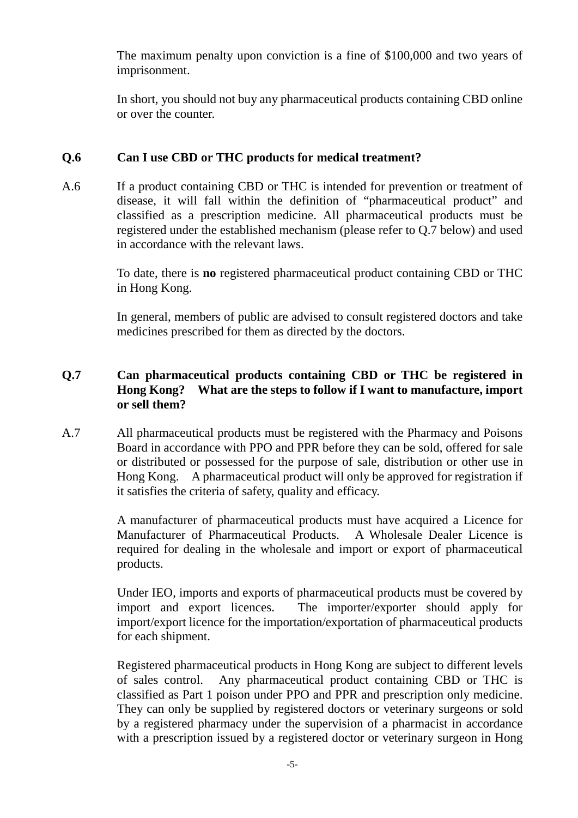The maximum penalty upon conviction is a fine of \$100,000 and two years of imprisonment.

In short, you should not buy any pharmaceutical products containing CBD online or over the counter.

# **Q.6 Can I use CBD or THC products for medical treatment?**

A.6 If a product containing CBD or THC is intended for prevention or treatment of disease, it will fall within the definition of "pharmaceutical product" and classified as a prescription medicine. All pharmaceutical products must be registered under the established mechanism (please refer to Q.7 below) and used in accordance with the relevant laws.

> To date, there is **no** registered pharmaceutical product containing CBD or THC in Hong Kong.

> In general, members of public are advised to consult registered doctors and take medicines prescribed for them as directed by the doctors.

# **Q.7 Can pharmaceutical products containing CBD or THC be registered in Hong Kong? What are the steps to follow if I want to manufacture, import or sell them?**

A.7 All pharmaceutical products must be registered with the Pharmacy and Poisons Board in accordance with PPO and PPR before they can be sold, offered for sale or distributed or possessed for the purpose of sale, distribution or other use in Hong Kong. A pharmaceutical product will only be approved for registration if it satisfies the criteria of safety, quality and efficacy.

> A manufacturer of pharmaceutical products must have acquired a Licence for Manufacturer of Pharmaceutical Products. A Wholesale Dealer Licence is required for dealing in the wholesale and import or export of pharmaceutical products.

> Under IEO, imports and exports of pharmaceutical products must be covered by import and export licences. The importer/exporter should apply for import/export licence for the importation/exportation of pharmaceutical products for each shipment.

> Registered pharmaceutical products in Hong Kong are subject to different levels of sales control. Any pharmaceutical product containing CBD or THC is classified as Part 1 poison under PPO and PPR and prescription only medicine. They can only be supplied by registered doctors or veterinary surgeons or sold by a registered pharmacy under the supervision of a pharmacist in accordance with a prescription issued by a registered doctor or veterinary surgeon in Hong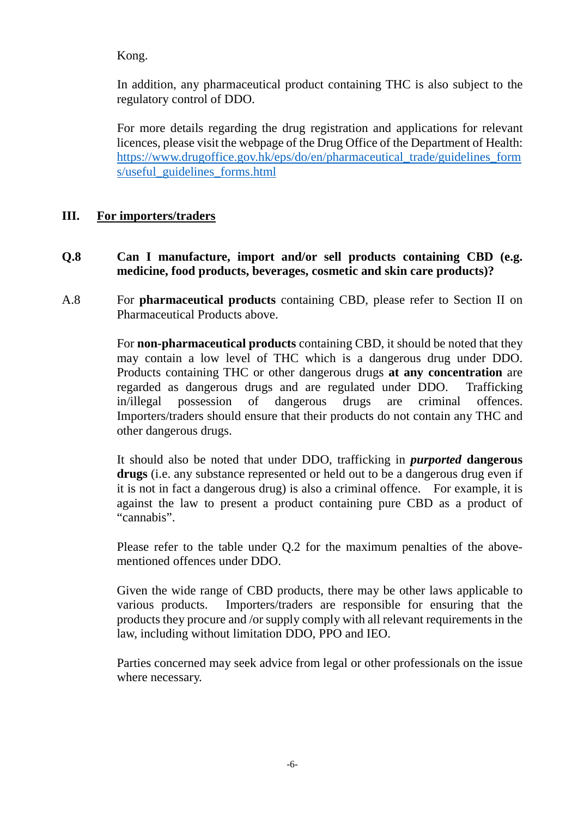Kong.

In addition, any pharmaceutical product containing THC is also subject to the regulatory control of DDO.

For more details regarding the drug registration and applications for relevant licences, please visit the webpage of the Drug Office of the Department of Health: [https://www.drugoffice.gov.hk/eps/do/en/pharmaceutical\\_trade/guidelines\\_form](https://www.drugoffice.gov.hk/eps/do/en/pharmaceutical_trade/guidelines_forms/useful_guidelines_forms.html) [s/useful\\_guidelines\\_forms.html](https://www.drugoffice.gov.hk/eps/do/en/pharmaceutical_trade/guidelines_forms/useful_guidelines_forms.html)

# **III. For importers/traders**

- **Q.8 Can I manufacture, import and/or sell products containing CBD (e.g. medicine, food products, beverages, cosmetic and skin care products)?**
- A.8 For **pharmaceutical products** containing CBD, please refer to Section II on Pharmaceutical Products above.

For **non-pharmaceutical products** containing CBD, it should be noted that they may contain a low level of THC which is a dangerous drug under DDO. Products containing THC or other dangerous drugs **at any concentration** are regarded as dangerous drugs and are regulated under DDO. Trafficking in/illegal possession of dangerous drugs are criminal offences. Importers/traders should ensure that their products do not contain any THC and other dangerous drugs.

It should also be noted that under DDO, trafficking in *purported* **dangerous drugs** (i.e. any substance represented or held out to be a dangerous drug even if it is not in fact a dangerous drug) is also a criminal offence. For example, it is against the law to present a product containing pure CBD as a product of "cannabis".

Please refer to the table under Q.2 for the maximum penalties of the abovementioned offences under DDO.

Given the wide range of CBD products, there may be other laws applicable to various products. Importers/traders are responsible for ensuring that the products they procure and /or supply comply with all relevant requirements in the law, including without limitation DDO, PPO and IEO.

Parties concerned may seek advice from legal or other professionals on the issue where necessary.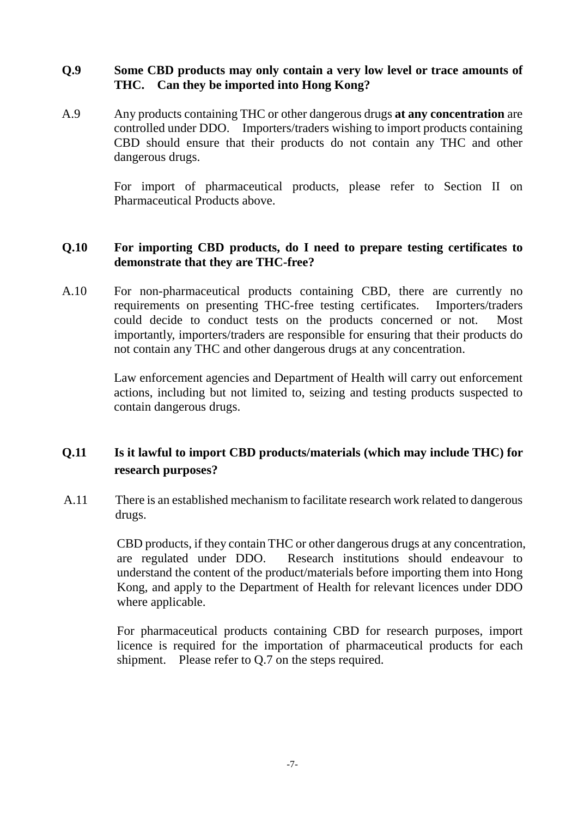### **Q.9 Some CBD products may only contain a very low level or trace amounts of THC. Can they be imported into Hong Kong?**

A.9 Any products containing THC or other dangerous drugs **at any concentration** are controlled under DDO. Importers/traders wishing to import products containing CBD should ensure that their products do not contain any THC and other dangerous drugs.

> For import of pharmaceutical products, please refer to Section II on Pharmaceutical Products above.

#### **Q.10 For importing CBD products, do I need to prepare testing certificates to demonstrate that they are THC-free?**

A.10 For non-pharmaceutical products containing CBD, there are currently no requirements on presenting THC-free testing certificates. Importers/traders could decide to conduct tests on the products concerned or not. Most importantly, importers/traders are responsible for ensuring that their products do not contain any THC and other dangerous drugs at any concentration.

> Law enforcement agencies and Department of Health will carry out enforcement actions, including but not limited to, seizing and testing products suspected to contain dangerous drugs.

# **Q.11 Is it lawful to import CBD products/materials (which may include THC) for research purposes?**

A.11 There is an established mechanism to facilitate research work related to dangerous drugs.

> CBD products, if they contain THC or other dangerous drugs at any concentration, are regulated under DDO. Research institutions should endeavour to understand the content of the product/materials before importing them into Hong Kong, and apply to the Department of Health for relevant licences under DDO where applicable.

> For pharmaceutical products containing CBD for research purposes, import licence is required for the importation of pharmaceutical products for each shipment. Please refer to Q.7 on the steps required.